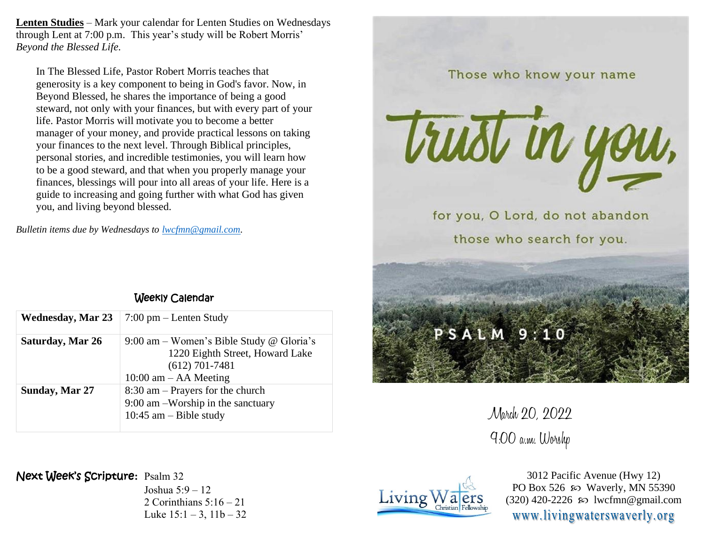**Lenten Studies** – Mark your calendar for Lenten Studies on Wednesdays through Lent at 7:00 p.m. This year's study will be Robert Morris' *Beyond the Blessed Life.*

In The Blessed Life, Pastor Robert Morris teaches that generosity is a key component to being in God's favor. Now, in Beyond Blessed, he shares the importance of being a good steward, not only with your finances, but with every part of your life. Pastor Morris will motivate you to become a better manager of your money, and provide practical lessons on taking your finances to the next level. Through Biblical principles, personal stories, and incredible testimonies, you will learn how to be a good steward, and that when you properly manage your finances, blessings will pour into all areas of your life. Here is a guide to increasing and going further with what God has given you, and living beyond blessed.

*Bulletin items due by Wednesdays to [lwcfmn@gmail.com.](mailto:lwcfmn@gmail.com)*

| <b>Wednesday, Mar 23</b> | $7:00 \text{ pm} -$ Lenten Study                                                                                             |
|--------------------------|------------------------------------------------------------------------------------------------------------------------------|
| Saturday, Mar 26         | 9:00 am – Women's Bible Study @ Gloria's<br>1220 Eighth Street, Howard Lake<br>$(612)$ 701-7481<br>$10:00$ am $-$ AA Meeting |
| Sunday, Mar 27           | $8:30$ am – Prayers for the church<br>$9:00$ am $-Worship$ in the sanctuary<br>10:45 am $-$ Bible study                      |

## Next Week's Scripture**:** Psalm 32

Joshua 5:9 – 12 2 Corinthians  $5:16 - 21$ Luke  $15:1 - 3$ ,  $11b - 32$ 



March 20, 2022 9:00 a.m. Worshp



3012 Pacific Avenue (Hwy 12) PO Box 526  $\omega$  Waverly, MN 55390  $(320)$  420-2226 so lwcfmn@gmail.com www.livingwaterswaverly.org

## Weekly Calendar